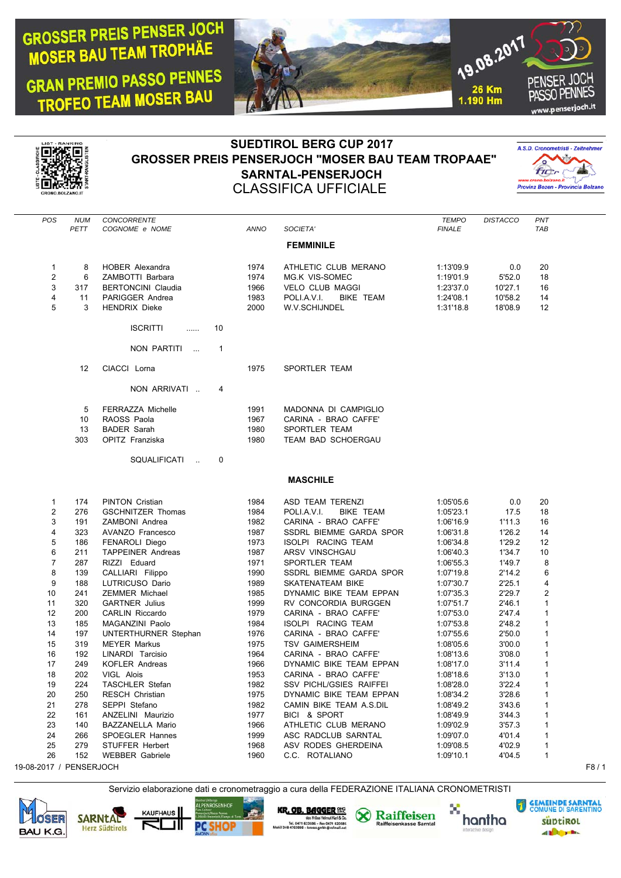## **GROSSER PREIS PENSER JOCH MOSER BAU TEAM TROPHAE**

**GRAN PREMIO PASSO PENNES** TROFEO TEAM MOSER BAU





## **SUEDTIROL BERG CUP 2017 GROSSER PREIS PENSERJOCH "MOSER BAU TEAM TROPAAE" SARNTAL-PENSERJOCH** CLASSIFICA UFFICIALE



| <b>POS</b> | <b>NUM</b>        | <b>CONCORRENTE</b>                                     |      |                                 | <b>TEMPO</b>  | <b>DISTACCO</b> | PNT |
|------------|-------------------|--------------------------------------------------------|------|---------------------------------|---------------|-----------------|-----|
|            | PETT              | COGNOME e NOME                                         | ANNO | SOCIETA'                        | <b>FINALE</b> |                 | TAB |
|            |                   |                                                        |      | <b>FEMMINILE</b>                |               |                 |     |
|            |                   |                                                        |      |                                 |               |                 |     |
| 1          | 8                 | <b>HOBER Alexandra</b>                                 | 1974 | ATHLETIC CLUB MERANO            | 1:13'09.9     | 0.0             | 20  |
| 2          | 6                 | ZAMBOTTI Barbara                                       | 1974 | MG.K VIS-SOMEC                  | 1:19'01.9     | 5'52.0          | 18  |
| 3          | 317               | <b>BERTONCINI Claudia</b>                              | 1966 | <b>VELO CLUB MAGGI</b>          | 1:23'37.0     | 10'27.1         | 16  |
| 4          | 11                | PARIGGER Andrea                                        | 1983 | POLI.A.V.I.<br><b>BIKE TEAM</b> | 1:24'08.1     | 10'58.2         | 14  |
| 5          | 3                 | <b>HENDRIX Dieke</b>                                   | 2000 | W.V.SCHIJNDEL                   | 1:31'18.8     | 18'08.9         | 12  |
|            |                   |                                                        |      |                                 |               |                 |     |
|            |                   | <b>ISCRITTI</b><br>10<br>1.1.1.1                       |      |                                 |               |                 |     |
|            |                   |                                                        |      |                                 |               |                 |     |
|            |                   | NON PARTITI<br>$\mathbf 1$<br>$\overline{\phantom{a}}$ |      |                                 |               |                 |     |
|            | $12 \overline{ }$ | CIACCI Lorna                                           | 1975 | <b>SPORTLER TEAM</b>            |               |                 |     |
|            |                   |                                                        |      |                                 |               |                 |     |
|            |                   | NON ARRIVATI<br>4                                      |      |                                 |               |                 |     |
|            |                   |                                                        |      |                                 |               |                 |     |
|            | 5                 | FERRAZZA Michelle                                      | 1991 | MADONNA DI CAMPIGLIO            |               |                 |     |
|            | 10                | RAOSS Paola                                            | 1967 | CARINA - BRAO CAFFE'            |               |                 |     |
|            | 13                | <b>BADER Sarah</b>                                     | 1980 | <b>SPORTLER TEAM</b>            |               |                 |     |
|            | 303               | <b>OPITZ Franziska</b>                                 | 1980 | TEAM BAD SCHOERGAU              |               |                 |     |
|            |                   |                                                        |      |                                 |               |                 |     |

SQUALIFICATI .. 0

## **MASCHILE**

|    | 174 | <b>PINTON Cristian</b>   | 1984 | ASD TEAM TERENZI                | 1:05'05.6 | 0.0    | 20             |
|----|-----|--------------------------|------|---------------------------------|-----------|--------|----------------|
| 2  | 276 | <b>GSCHNITZER Thomas</b> | 1984 | <b>BIKE TEAM</b><br>POLI.A.V.I. | 1:05'23.1 | 17.5   | 18             |
| 3  | 191 | ZAMBONI Andrea           | 1982 | CARINA - BRAO CAFFE'            | 1:06'16.9 | 1'11.3 | 16             |
| 4  | 323 | AVANZO Francesco         | 1987 | SSDRL BIEMME GARDA SPOR         | 1:06'31.8 | 1'26.2 | 14             |
| 5  | 186 | <b>FENAROLI Diego</b>    | 1973 | ISOLPI RACING TEAM              | 1:06'34.8 | 1'29.2 | 12             |
| 6  | 211 | <b>TAPPEINER Andreas</b> | 1987 | ARSV VINSCHGAU                  | 1:06'40.3 | 1'34.7 | 10             |
| 7  | 287 | RIZZI Eduard             | 1971 | SPORTLER TEAM                   | 1:06'55.3 | 1'49.7 | 8              |
| 8  | 139 | CALLIARI Filippo         | 1990 | SSDRL BIEMME GARDA SPOR         | 1:07'19.8 | 2'14.2 | 6              |
| 9  | 188 | LUTRICUSO Dario          | 1989 | SKATENATEAM BIKE                | 1:07'30.7 | 2'25.1 | 4              |
| 10 | 241 | ZEMMER Michael           | 1985 | DYNAMIC BIKE TEAM EPPAN         | 1:07'35.3 | 2'29.7 | $\overline{2}$ |
| 11 | 320 | <b>GARTNER Julius</b>    | 1999 | RV CONCORDIA BURGGEN            | 1:07'51.7 | 2'46.1 | 1              |
| 12 | 200 | <b>CARLIN Riccardo</b>   | 1979 | CARINA - BRAO CAFFE'            | 1:07'53.0 | 2'47.4 | 1              |
| 13 | 185 | MAGANZINI Paolo          | 1984 | ISOLPI RACING TEAM              | 1:07'53.8 | 2'48.2 |                |
| 14 | 197 | UNTERTHURNER Stephan     | 1976 | CARINA - BRAO CAFFE'            | 1:07'55.6 | 2'50.0 | 1              |
| 15 | 319 | <b>MEYER Markus</b>      | 1975 | <b>TSV GAIMERSHEIM</b>          | 1:08'05.6 | 3'00.0 | 1              |
| 16 | 192 | LINARDI Tarcisio         | 1964 | CARINA - BRAO CAFFE'            | 1:08'13.6 | 3'08.0 | 1              |
| 17 | 249 | <b>KOFLER Andreas</b>    | 1966 | DYNAMIC BIKE TEAM EPPAN         | 1:08'17.0 | 3'11.4 | 1              |
| 18 | 202 | VIGL Alois               | 1953 | CARINA - BRAO CAFFE'            | 1:08'18.6 | 3'13.0 | 1              |
| 19 | 224 | <b>TASCHLER Stefan</b>   | 1982 | SSV PICHL/GSIES RAIFFEI         | 1:08'28.0 | 3'22.4 | 1              |
| 20 | 250 | RESCH Christian          | 1975 | DYNAMIC BIKE TEAM EPPAN         | 1:08'34.2 | 3'28.6 | 1              |
| 21 | 278 | SEPPI Stefano            | 1982 | CAMIN BIKE TEAM A.S.DIL         | 1:08'49.2 | 3'43.6 | 1              |
| 22 | 161 | ANZELINI Maurizio        | 1977 | BICI & SPORT                    | 1:08'49.9 | 3'44.3 | 1              |
| 23 | 140 | BAZZANELLA Mario         | 1966 | ATHLETIC CLUB MERANO            | 1:09'02.9 | 3'57.3 | 1              |
| 24 | 266 | SPOEGLER Hannes          | 1999 | ASC RADCLUB SARNTAL             | 1:09'07.0 | 4'01.4 | 1              |
| 25 | 279 | STUFFER Herbert          | 1968 | ASV RODES GHERDEINA             | 1:09'08.5 | 4'02.9 | $\mathbf{1}$   |
| 26 | 152 | <b>WEBBER Gabriele</b>   | 1960 | C.C. ROTALIANO                  | 1:09'10.1 | 4'04.5 | 1              |
|    |     |                          |      |                                 |           |        |                |

19-08-2017 / PENSERJOCH F8 / 1

OSER

**BAU K.G.** 

**SARNTAL** 

**Herz Südtirols** 

Servizio elaborazione dati e cronometraggio a cura della FEDERAZIONE ITALIANA CRONOMETRISTI

**LPENROSENHOF** 

**PC SHOP** 

**KAUFHAUS** 

F

ᅫ

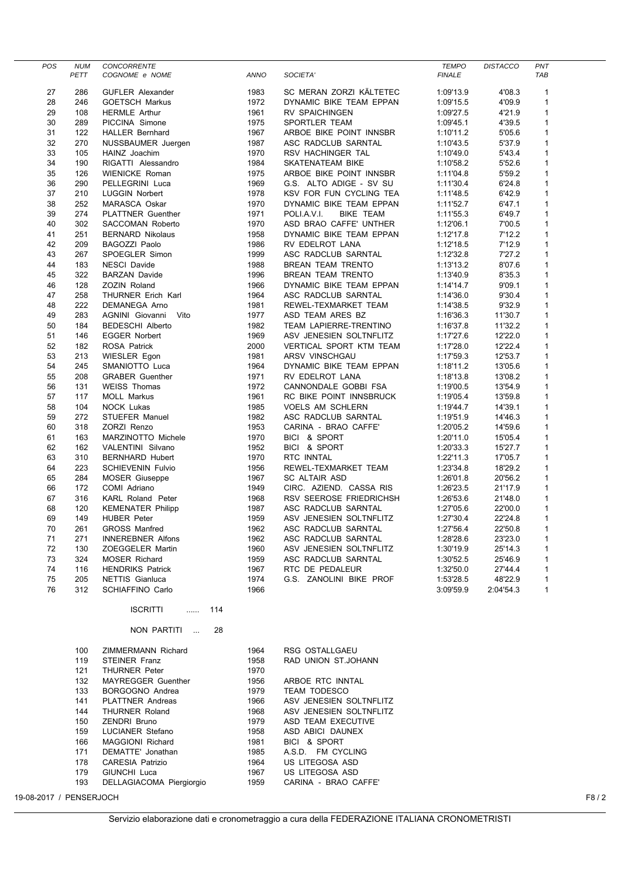| POS | <b>NUM</b> | CONCORRENTE              |      |                                 | <b>TEMPO</b>  | <b>DISTACCO</b> | PNT          |
|-----|------------|--------------------------|------|---------------------------------|---------------|-----------------|--------------|
|     | PETT       | COGNOME e NOME           | ANNO | SOCIETA'                        | <b>FINALE</b> |                 | <b>TAB</b>   |
| 27  | 286        | <b>GUFLER Alexander</b>  | 1983 | SC MERAN ZORZI KÄLTETEC         | 1:09'13.9     | 4'08.3          | $\mathbf{1}$ |
| 28  | 246        | <b>GOETSCH Markus</b>    | 1972 | DYNAMIC BIKE TEAM EPPAN         | 1:09'15.5     | 4'09.9          | $\mathbf{1}$ |
| 29  | 108        | <b>HERMLE Arthur</b>     | 1961 | RV SPAICHINGEN                  | 1:09'27.5     | 4'21.9          | $\mathbf{1}$ |
| 30  | 289        | PICCINA Simone           | 1975 | SPORTLER TEAM                   | 1:09'45.1     | 4'39.5          | $\mathbf{1}$ |
| 31  | 122        | <b>HALLER Bernhard</b>   | 1967 | ARBOE BIKE POINT INNSBR         | 1:10'11.2     | 5'05.6          | $\mathbf{1}$ |
| 32  | 270        | NUSSBAUMER Juergen       | 1987 | ASC RADCLUB SARNTAL             | 1:10'43.5     | 5'37.9          | $\mathbf{1}$ |
| 33  | 105        | HAINZ Joachim            | 1970 | RSV HACHINGER TAL               | 1:10'49.0     | 5'43.4          | $\mathbf{1}$ |
| 34  | 190        | RIGATTI Alessandro       | 1984 | SKATENATEAM BIKE                | 1:10'58.2     | 5'52.6          | 1            |
| 35  | 126        | <b>WIENICKE Roman</b>    | 1975 | ARBOE BIKE POINT INNSBR         | 1:11'04.8     | 5'59.2          | $\mathbf{1}$ |
| 36  | 290        | PELLEGRINI Luca          | 1969 | G.S. ALTO ADIGE - SV SU         | 1:11'30.4     | 6'24.8          | $\mathbf{1}$ |
| 37  | 210        | <b>LUGGIN Norbert</b>    | 1978 | KSV FOR FUN CYCLING TEA         | 1:11'48.5     | 6'42.9          | 1            |
| 38  | 252        | <b>MARASCA Oskar</b>     | 1970 | DYNAMIC BIKE TEAM EPPAN         | 1:11'52.7     | 6'47.1          | $\mathbf{1}$ |
| 39  | 274        | <b>PLATTNER Guenther</b> | 1971 | POLI.A.V.I.<br><b>BIKE TEAM</b> | 1:11'55.3     | 6'49.7          | $\mathbf{1}$ |
| 40  | 302        | <b>SACCOMAN Roberto</b>  | 1970 | ASD BRAO CAFFE' UNTHER          | 1:12'06.1     | 7'00.5          | 1            |
| 41  | 251        | <b>BERNARD Nikolaus</b>  | 1958 | DYNAMIC BIKE TEAM EPPAN         | 1:12'17.8     | 7'12.2          | 1            |
| 42  | 209        | <b>BAGOZZI Paolo</b>     | 1986 | RV EDELROT LANA                 | 1:12'18.5     | 7'12.9          | $\mathbf{1}$ |
| 43  | 267        | SPOEGLER Simon           | 1999 | ASC RADCLUB SARNTAL             | 1:12'32.8     | 7'27.2          | 1            |
| 44  | 183        | <b>NESCI Davide</b>      | 1988 | <b>BREAN TEAM TRENTO</b>        | 1:13'13.2     | 8'07.6          | 1            |
| 45  | 322        | <b>BARZAN Davide</b>     | 1996 | BREAN TEAM TRENTO               | 1:13'40.9     | 8'35.3          | $\mathbf{1}$ |
| 46  | 128        | <b>ZOZIN Roland</b>      | 1966 | DYNAMIC BIKE TEAM EPPAN         | 1:14'14.7     | 9'09.1          | $\mathbf{1}$ |
| 47  | 258        | THURNER Erich Karl       | 1964 | ASC RADCLUB SARNTAL             | 1:14'36.0     | 9'30.4          | 1            |
| 48  | 222        | <b>DEMANEGA Arno</b>     | 1981 | REWEL-TEXMARKET TEAM            | 1:14'38.5     | 9'32.9          | $\mathbf{1}$ |
| 49  | 283        | Vito<br>AGNINI Giovanni  | 1977 | ASD TEAM ARES BZ                | 1:16'36.3     | 11'30.7         | 1            |
| 50  | 184        | <b>BEDESCHI Alberto</b>  | 1982 | TEAM LAPIERRE-TRENTINO          | 1:16'37.8     | 11'32.2         | $\mathbf{1}$ |
| 51  | 146        | <b>EGGER Norbert</b>     | 1969 | ASV JENESIEN SOLTNFLITZ         | 1:17'27.6     | 12'22.0         | $\mathbf{1}$ |
| 52  | 182        | <b>ROSA Patrick</b>      | 2000 | VERTICAL SPORT KTM TEAM         | 1:17'28.0     | 12'22.4         | 1            |
| 53  | 213        | WIESLER Egon             | 1981 | ARSV VINSCHGAU                  | 1:17'59.3     | 12'53.7         | $\mathbf{1}$ |
| 54  | 245        | SMANIOTTO Luca           | 1964 | DYNAMIC BIKE TEAM EPPAN         | 1:18'11.2     | 13'05.6         | 1            |
| 55  | 208        | <b>GRABER Guenther</b>   | 1971 | RV EDELROT LANA                 | 1:18'13.8     | 13'08.2         | 1            |
| 56  | 131        | <b>WEISS Thomas</b>      | 1972 | CANNONDALE GOBBI FSA            | 1:19'00.5     | 13'54.9         | 1            |
| 57  | 117        | <b>MOLL Markus</b>       | 1961 | RC BIKE POINT INNSBRUCK         | 1:19'05.4     | 13'59.8         | 1            |
| 58  | 104        | <b>NOCK Lukas</b>        | 1985 | <b>VOELS AM SCHLERN</b>         | 1:19'44.7     | 14'39.1         | 1            |
| 59  | 272        | <b>STUEFER Manuel</b>    | 1982 | ASC RADCLUB SARNTAL             | 1:19'51.9     | 14'46.3         | $\mathbf{1}$ |
| 60  | 318        | ZORZI Renzo              | 1953 | CARINA - BRAO CAFFE'            | 1:20'05.2     | 14'59.6         | $\mathbf{1}$ |
| 61  | 163        | MARZINOTTO Michele       | 1970 | BICI & SPORT                    | 1:20'11.0     | 15'05.4         | 1            |
| 62  | 162        | VALENTINI Silvano        | 1952 | BICI & SPORT                    | 1:20'33.3     | 15'27.7         | $\mathbf{1}$ |
| 63  | 310        | <b>BERNHARD Hubert</b>   | 1970 | RTC INNTAL                      | 1:22'11.3     | 17'05.7         | $\mathbf{1}$ |
| 64  | 223        | <b>SCHIEVENIN Fulvio</b> | 1956 | REWEL-TEXMARKET TEAM            | 1:23'34.8     | 18'29.2         | 1            |
| 65  | 284        | <b>MOSER Giuseppe</b>    | 1967 | <b>SC ALTAIR ASD</b>            | 1:26'01.8     | 20'56.2         | 1            |
| 66  | 172        | COMI Adriano             | 1949 | CIRC. AZIEND. CASSA RIS         | 1:26'23.5     | 21'17.9         | $\mathbf{1}$ |
| 67  | 316        | <b>KARL Roland Peter</b> | 1968 | RSV SEEROSE FRIEDRICHSH         | 1:26'53.6     | 21'48.0         | $\mathbf{1}$ |
| 68  | 120        | <b>KEMENATER Philipp</b> | 1987 | ASC RADCLUB SARNTAL             | 1:27'05.6     | 22'00.0         | 1            |
| 69  | 149        | <b>HUBER Peter</b>       | 1959 | ASV JENESIEN SOLTNFLITZ         | 1:27'30.4     | 22'24.8         | $\mathbf{1}$ |
| 70  | 261        | <b>GROSS Manfred</b>     | 1962 | ASC RADCLUB SARNTAL             | 1:27'56.4     | 22'50.8         | $\mathbf{1}$ |
| 71  | 271        | <b>INNEREBNER Alfons</b> | 1962 | ASC RADCLUB SARNTAL             | 1:28'28.6     | 23'23.0         | $\mathbf{1}$ |
| 72  | 130        | ZOEGGELER Martin         | 1960 | ASV JENESIEN SOLTNFLITZ         | 1:30'19.9     | 25'14.3         | $\mathbf{1}$ |
| 73  | 324        | MOSER Richard            | 1959 | ASC RADCLUB SARNTAL             | 1:30'52.5     | 25'46.9         | $\mathbf{1}$ |
| 74  | 116        | <b>HENDRIKS Patrick</b>  | 1967 | RTC DE PEDALEUR                 | 1:32'50.0     | 27'44.4         | $\mathbf{1}$ |
| 75  | 205        | <b>NETTIS Gianluca</b>   | 1974 | G.S. ZANOLINI BIKE PROF         | 1:53'28.5     | 48'22.9         | $\mathbf{1}$ |
| 76  | 312        | <b>SCHIAFFINO Carlo</b>  | 1966 |                                 | 3:09'59.9     | 2:04'54.3       | $\mathbf{1}$ |

ISCRITTI ...... 114

NON PARTITI ... 28

| 100 | ZIMMERMANN Richard        | 1964 | <b>RSG OSTALLGAEU</b>   |
|-----|---------------------------|------|-------------------------|
| 119 | <b>STEINER Franz</b>      | 1958 | RAD UNION ST.JOHANN     |
| 121 | <b>THURNER Peter</b>      | 1970 |                         |
| 132 | <b>MAYREGGER Guenther</b> | 1956 | ARBOE RTC INNTAL        |
| 133 | BORGOGNO Andrea           | 1979 | <b>TEAM TODESCO</b>     |
| 141 | <b>PLATTNER Andreas</b>   | 1966 | ASV JENESIEN SOLTNFLITZ |
| 144 | <b>THURNER Roland</b>     | 1968 | ASV JENESIEN SOLTNFLITZ |
| 150 | <b>ZENDRI Bruno</b>       | 1979 | ASD TEAM EXECUTIVE      |
| 159 | LUCIANER Stefano          | 1958 | ASD ABICI DAUNEX        |
| 166 | MAGGIONI Richard          | 1981 | & SPORT<br><b>BICL</b>  |
| 171 | DEMATTE' Jonathan         | 1985 | A.S.D. FM CYCLING       |
| 178 | <b>CARESIA Patrizio</b>   | 1964 | US LITEGOSA ASD         |
| 179 | GIUNCHI Luca              | 1967 | US LITEGOSA ASD         |
| 193 | DELLAGIACOMA Piergiorgio  | 1959 | CARINA - BRAO CAFFE'    |
|     |                           |      |                         |

19-08-2017 / PENSERJOCH F8 / 2